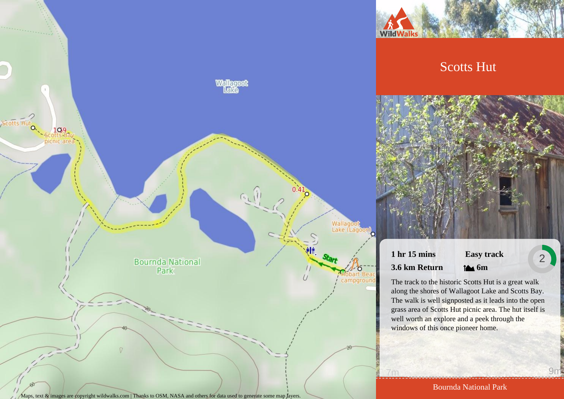

# Scotts Hut



# **1 hr 15 mins 3.6 km Return**

# **Easy track 6m**

2

The track to the historic Scotts Hut is a great walk along the shores of Wallagoot Lake and Scotts Bay. The walk is well signposted as it leads into the open grass area of Scotts Hut picnic area. The hut itself is well worth an explore and a peek through the windows of this once pioneer home.

Bournda National Park